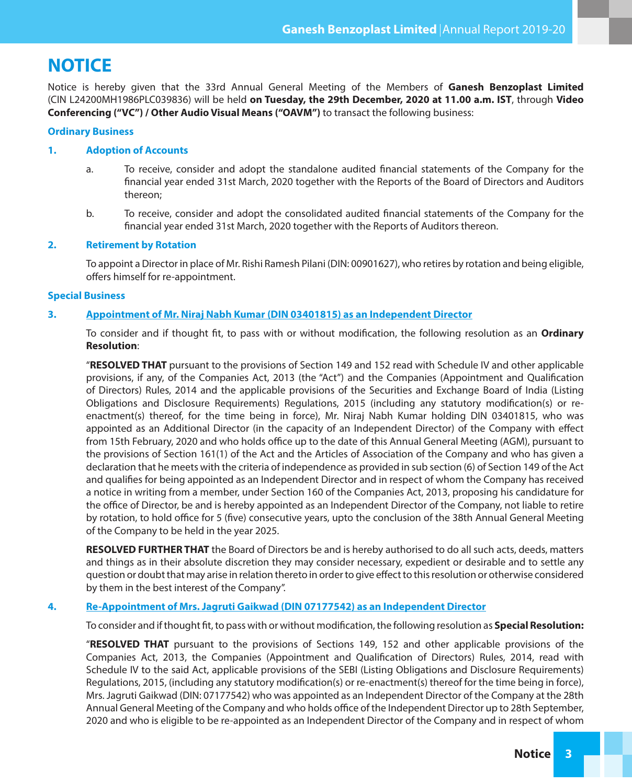# **NOTICE**

Notice is hereby given that the 33rd Annual General Meeting of the Members of **Ganesh Benzoplast Limited** (CIN L24200MH1986PLC039836) will be held **on Tuesday, the 29th December, 2020 at 11.00 a.m. IST**, through **Video Conferencing ("VC") / Other Audio Visual Means ("OAVM")** to transact the following business:

#### **Ordinary Business**

#### **1. Adoption of Accounts**

- a. To receive, consider and adopt the standalone audited financial statements of the Company for the financial year ended 31st March, 2020 together with the Reports of the Board of Directors and Auditors thereon;
- b. To receive, consider and adopt the consolidated audited nancial statements of the Company for the nancial year ended 31st March, 2020 together with the Reports of Auditors thereon.

#### **2. Retirement by Rotation**

To appoint a Director in place of Mr. Rishi Ramesh Pilani (DIN: 00901627), who retires by rotation and being eligible, offers himself for re-appointment.

#### **Special Business**

#### **3. Appointment of Mr. Niraj Nabh Kumar (DIN 03401815) as an Independent Director**

To consider and if thought fit, to pass with or without modification, the following resolution as an **Ordinary Resolution**:

"**RESOLVED THAT** pursuant to the provisions of Section 149 and 152 read with Schedule IV and other applicable provisions, if any, of the Companies Act, 2013 (the "Act") and the Companies (Appointment and Qualification of Directors) Rules, 2014 and the applicable provisions of the Securities and Exchange Board of India (Listing Obligations and Disclosure Requirements) Regulations, 2015 (including any statutory modification(s) or reenactment(s) thereof, for the time being in force), Mr. Niraj Nabh Kumar holding DIN 03401815, who was appointed as an Additional Director (in the capacity of an Independent Director) of the Company with effect from 15th February, 2020 and who holds office up to the date of this Annual General Meeting (AGM), pursuant to the provisions of Section 161(1) of the Act and the Articles of Association of the Company and who has given a declaration that he meets with the criteria of independence as provided in sub section (6) of Section 149 of the Act and qualifies for being appointed as an Independent Director and in respect of whom the Company has received a notice in writing from a member, under Section 160 of the Companies Act, 2013, proposing his candidature for the office of Director, be and is hereby appointed as an Independent Director of the Company, not liable to retire by rotation, to hold office for 5 (five) consecutive years, upto the conclusion of the 38th Annual General Meeting of the Company to be held in the year 2025.

**RESOLVED FURTHER THAT** the Board of Directors be and is hereby authorised to do all such acts, deeds, matters and things as in their absolute discretion they may consider necessary, expedient or desirable and to settle any question or doubt that may arise in relation thereto in order to give effect to this resolution or otherwise considered by them in the best interest of the Company".

### **4. Re-Appointment of Mrs. Jagruti Gaikwad (DIN 07177542) as an Independent Director**

To consider and if thought fit, to pass with or without modification, the following resolution as **Special Resolution:** 

"**RESOLVED THAT** pursuant to the provisions of Sections 149, 152 and other applicable provisions of the Companies Act, 2013, the Companies (Appointment and Qualification of Directors) Rules, 2014, read with Schedule IV to the said Act, applicable provisions of the SEBI (Listing Obligations and Disclosure Requirements) Regulations, 2015, (including any statutory modification(s) or re-enactment(s) thereof for the time being in force), Mrs. Jagruti Gaikwad (DIN: 07177542) who was appointed as an Independent Director of the Company at the 28th Annual General Meeting of the Company and who holds office of the Independent Director up to 28th September, 2020 and who is eligible to be re-appointed as an Independent Director of the Company and in respect of whom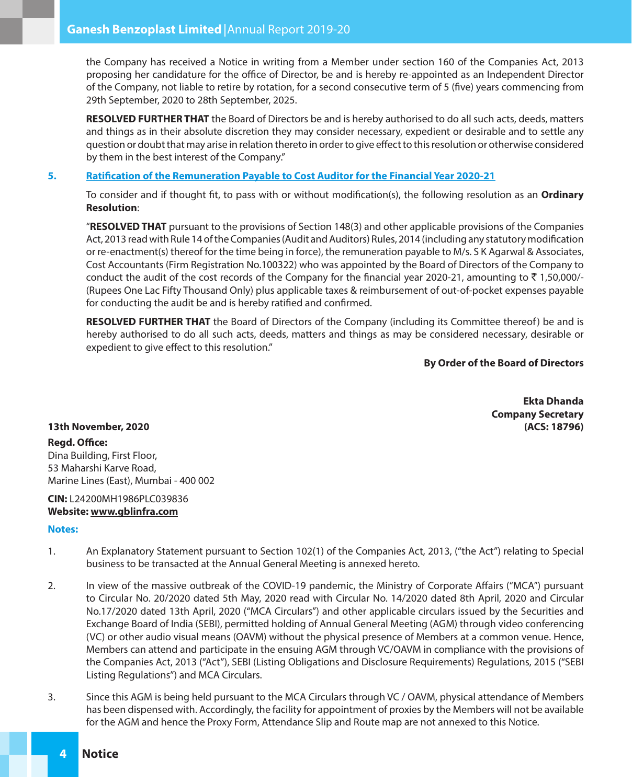the Company has received a Notice in writing from a Member under section 160 of the Companies Act, 2013 proposing her candidature for the office of Director, be and is hereby re-appointed as an Independent Director of the Company, not liable to retire by rotation, for a second consecutive term of 5 (five) years commencing from 29th September, 2020 to 28th September, 2025.

**RESOLVED FURTHER THAT** the Board of Directors be and is hereby authorised to do all such acts, deeds, matters and things as in their absolute discretion they may consider necessary, expedient or desirable and to settle any question or doubt that may arise in relation thereto in order to give effect to this resolution or otherwise considered by them in the best interest of the Company."

#### **5. Ratication of the Remuneration Payable to Cost Auditor for the Financial Year 2020-21**

To consider and if thought fit, to pass with or without modification(s), the following resolution as an **Ordinary Resolution**:

"**RESOLVED THAT** pursuant to the provisions of Section 148(3) and other applicable provisions of the Companies Act, 2013 read with Rule 14 of the Companies (Audit and Auditors) Rules, 2014 (including any statutory modification or re-enactment(s) thereof for the time being in force), the remuneration payable to M/s. S K Agarwal & Associates, Cost Accountants (Firm Registration No.100322) who was appointed by the Board of Directors of the Company to conduct the audit of the cost records of the Company for the financial year 2020-21, amounting to  $\bar{z}$  1,50,000/-(Rupees One Lac Fifty Thousand Only) plus applicable taxes & reimbursement of out-of-pocket expenses payable for conducting the audit be and is hereby ratified and confirmed.

**RESOLVED FURTHER THAT** the Board of Directors of the Company (including its Committee thereof) be and is hereby authorised to do all such acts, deeds, matters and things as may be considered necessary, desirable or expedient to give effect to this resolution."

#### **By Order of the Board of Directors**

**Ekta Dhanda Company Secretary**

### **13th November, 2020 (ACS: 18796)**

### **Regd. Office:**

Dina Building, First Floor, 53 Maharshi Karve Road, Marine Lines (East), Mumbai - 400 002

### **CIN:** L24200MH1986PLC039836 **Website: www.gblinfra.com**

#### **Notes:**

- 1. An Explanatory Statement pursuant to Section 102(1) of the Companies Act, 2013, ("the Act") relating to Special business to be transacted at the Annual General Meeting is annexed hereto.
- 2. In view of the massive outbreak of the COVID-19 pandemic, the Ministry of Corporate Affairs ("MCA") pursuant to Circular No. 20/2020 dated 5th May, 2020 read with Circular No. 14/2020 dated 8th April, 2020 and Circular No.17/2020 dated 13th April, 2020 ("MCA Circulars") and other applicable circulars issued by the Securities and Exchange Board of India (SEBI), permitted holding of Annual General Meeting (AGM) through video conferencing (VC) or other audio visual means (OAVM) without the physical presence of Members at a common venue. Hence, Members can attend and participate in the ensuing AGM through VC/OAVM in compliance with the provisions of the Companies Act, 2013 ("Act"), SEBI (Listing Obligations and Disclosure Requirements) Regulations, 2015 ("SEBI Listing Regulations") and MCA Circulars.
- 3. Since this AGM is being held pursuant to the MCA Circulars through VC / OAVM, physical attendance of Members has been dispensed with. Accordingly, the facility for appointment of proxies by the Members will not be available for the AGM and hence the Proxy Form, Attendance Slip and Route map are not annexed to this Notice.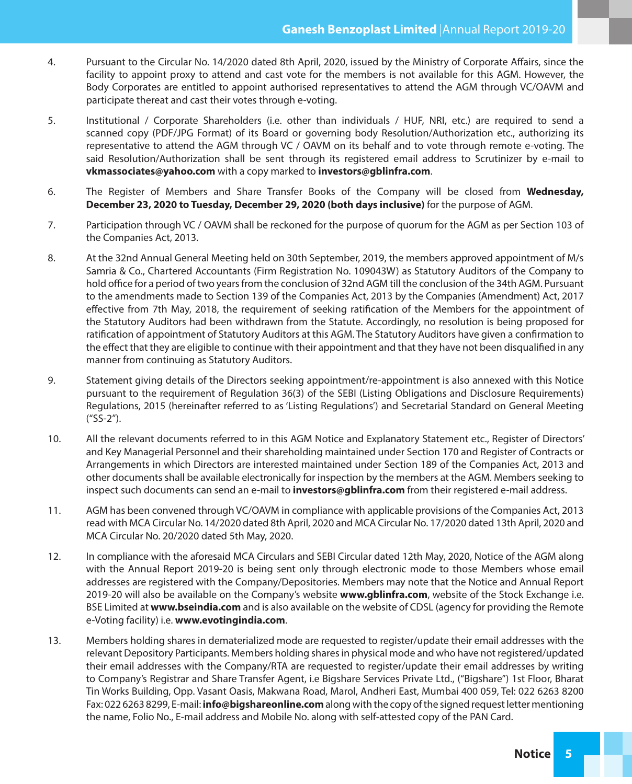- 4. Pursuant to the Circular No. 14/2020 dated 8th April, 2020, issued by the Ministry of Corporate Affairs, since the facility to appoint proxy to attend and cast vote for the members is not available for this AGM. However, the Body Corporates are entitled to appoint authorised representatives to attend the AGM through VC/OAVM and participate thereat and cast their votes through e-voting.
- 5. Institutional / Corporate Shareholders (i.e. other than individuals / HUF, NRI, etc.) are required to send a scanned copy (PDF/JPG Format) of its Board or governing body Resolution/Authorization etc., authorizing its representative to attend the AGM through VC / OAVM on its behalf and to vote through remote e-voting. The said Resolution/Authorization shall be sent through its registered email address to Scrutinizer by e-mail to **vkmassociates@yahoo.com** with a copy marked to **investors@gblinfra.com**.
- 6. The Register of Members and Share Transfer Books of the Company will be closed from **Wednesday, December 23, 2020 to Tuesday, December 29, 2020 (both days inclusive)** for the purpose of AGM.
- 7. Participation through VC / OAVM shall be reckoned for the purpose of quorum for the AGM as per Section 103 of the Companies Act, 2013.
- 8. At the 32nd Annual General Meeting held on 30th September, 2019, the members approved appointment of M/s Samria & Co., Chartered Accountants (Firm Registration No. 109043W) as Statutory Auditors of the Company to hold office for a period of two years from the conclusion of 32nd AGM till the conclusion of the 34th AGM. Pursuant to the amendments made to Section 139 of the Companies Act, 2013 by the Companies (Amendment) Act, 2017 effective from 7th May, 2018, the requirement of seeking ratification of the Members for the appointment of the Statutory Auditors had been withdrawn from the Statute. Accordingly, no resolution is being proposed for ratification of appointment of Statutory Auditors at this AGM. The Statutory Auditors have given a confirmation to the effect that they are eligible to continue with their appointment and that they have not been disqualified in any manner from continuing as Statutory Auditors.
- 9. Statement giving details of the Directors seeking appointment/re-appointment is also annexed with this Notice pursuant to the requirement of Regulation 36(3) of the SEBI (Listing Obligations and Disclosure Requirements) Regulations, 2015 (hereinafter referred to as 'Listing Regulations') and Secretarial Standard on General Meeting ("SS-2").
- 10. All the relevant documents referred to in this AGM Notice and Explanatory Statement etc., Register of Directors' and Key Managerial Personnel and their shareholding maintained under Section 170 and Register of Contracts or Arrangements in which Directors are interested maintained under Section 189 of the Companies Act, 2013 and other documents shall be available electronically for inspection by the members at the AGM. Members seeking to inspect such documents can send an e-mail to **investors@gblinfra.com** from their registered e-mail address.
- 11. AGM has been convened through VC/OAVM in compliance with applicable provisions of the Companies Act, 2013 read with MCA Circular No. 14/2020 dated 8th April, 2020 and MCA Circular No. 17/2020 dated 13th April, 2020 and MCA Circular No. 20/2020 dated 5th May, 2020.
- 12. In compliance with the aforesaid MCA Circulars and SEBI Circular dated 12th May, 2020, Notice of the AGM along with the Annual Report 2019-20 is being sent only through electronic mode to those Members whose email addresses are registered with the Company/Depositories. Members may note that the Notice and Annual Report 2019-20 will also be available on the Company's website **www.gblinfra.com**, website of the Stock Exchange i.e. BSE Limited at **www.bseindia.com** and is also available on the website of CDSL (agency for providing the Remote e-Voting facility) i.e. **www.evotingindia.com**.
- 13. Members holding shares in dematerialized mode are requested to register/update their email addresses with the relevant Depository Participants. Members holding shares in physical mode and who have not registered/updated their email addresses with the Company/RTA are requested to register/update their email addresses by writing to Company's Registrar and Share Transfer Agent, i.e Bigshare Services Private Ltd., ("Bigshare") 1st Floor, Bharat Tin Works Building, Opp. Vasant Oasis, Makwana Road, Marol, Andheri East, Mumbai 400 059, Tel: 022 6263 8200 Fax: 022 6263 8299, E-mail: **info@bigshareonline.com** along with the copy of the signed request letter mentioning the name, Folio No., E-mail address and Mobile No. along with self-attested copy of the PAN Card.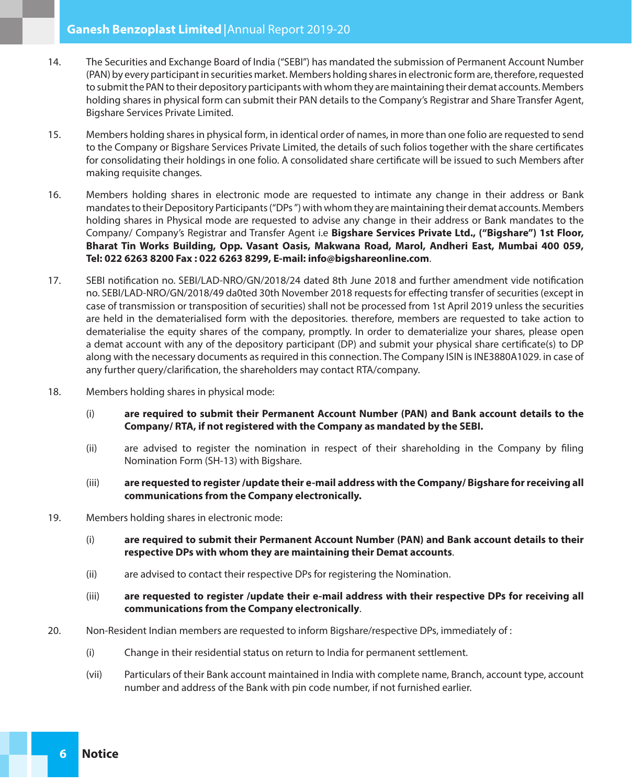- 14. The Securities and Exchange Board of India ("SEBI") has mandated the submission of Permanent Account Number (PAN) by every participant in securities market. Members holding shares in electronic form are, therefore, requested to submit the PAN to their depository participants with whom they are maintaining their demat accounts. Members holding shares in physical form can submit their PAN details to the Company's Registrar and Share Transfer Agent, Bigshare Services Private Limited.
- 15. Members holding shares in physical form, in identical order of names, in more than one folio are requested to send to the Company or Bigshare Services Private Limited, the details of such folios together with the share certificates for consolidating their holdings in one folio. A consolidated share certificate will be issued to such Members after making requisite changes.
- 16. Members holding shares in electronic mode are requested to intimate any change in their address or Bank mandates to their Depository Participants ("DPs ") with whom they are maintaining their demat accounts. Members holding shares in Physical mode are requested to advise any change in their address or Bank mandates to the Company/ Company's Registrar and Transfer Agent i.e **Bigshare Services Private Ltd., ("Bigshare") 1st Floor, Bharat Tin Works Building, Opp. Vasant Oasis, Makwana Road, Marol, Andheri East, Mumbai 400 059, Tel: 022 6263 8200 Fax : 022 6263 8299, E-mail: info@bigshareonline.com**.
- 17. SEBI notification no. SEBI/LAD-NRO/GN/2018/24 dated 8th June 2018 and further amendment vide notification no. SEBI/LAD-NRO/GN/2018/49 da0ted 30th November 2018 requests for effecting transfer of securities (except in case of transmission or transposition of securities) shall not be processed from 1st April 2019 unless the securities are held in the dematerialised form with the depositories. therefore, members are requested to take action to dematerialise the equity shares of the company, promptly. In order to dematerialize your shares, please open a demat account with any of the depository participant (DP) and submit your physical share certificate(s) to DP along with the necessary documents as required in this connection. The Company ISIN is INE3880A1029. in case of any further query/clarification, the shareholders may contact RTA/company.
- 18. Members holding shares in physical mode:
	- (i) **are required to submit their Permanent Account Number (PAN) and Bank account details to the Company/ RTA, if not registered with the Company as mandated by the SEBI.**
	- (ii) are advised to register the nomination in respect of their shareholding in the Company by filing Nomination Form (SH-13) with Bigshare.
	- (iii) **are requested to register /update their e-mail address with the Company/ Bigshare for receiving all communications from the Company electronically.**
- 19. Members holding shares in electronic mode:
	- (i) **are required to submit their Permanent Account Number (PAN) and Bank account details to their respective DPs with whom they are maintaining their Demat accounts**.
	- (ii) are advised to contact their respective DPs for registering the Nomination.
	- (iii) **are requested to register /update their e-mail address with their respective DPs for receiving all communications from the Company electronically**.
- 20. Non-Resident Indian members are requested to inform Bigshare/respective DPs, immediately of :
	- (i) Change in their residential status on return to India for permanent settlement.
	- (vii) Particulars of their Bank account maintained in India with complete name, Branch, account type, account number and address of the Bank with pin code number, if not furnished earlier.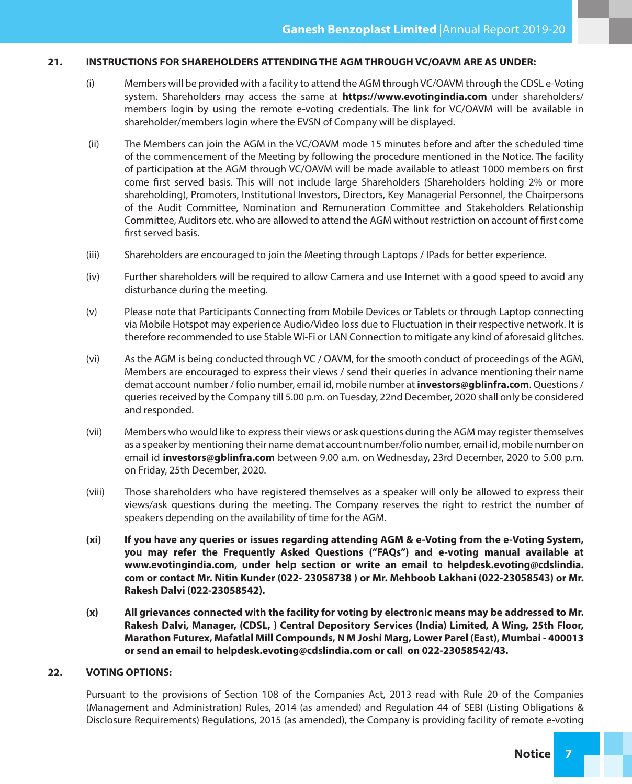#### **21. INSTRUCTIONS FOR SHAREHOLDERS ATTENDING THE AGM THROUGH VC/OAVM ARE AS UNDER:**

- (i) Members will be provided with a facility to attend the AGM through VC/OAVM through the CDSL e-Voting system. Shareholders may access the same at **https://www.evotingindia.com** under shareholders/ members login by using the remote e-voting credentials. The link for VC/OAVM will be available in shareholder/members login where the EVSN of Company will be displayed.
- (ii) The Members can join the AGM in the VC/OAVM mode 15 minutes before and after the scheduled time of the commencement of the Meeting by following the procedure mentioned in the Notice. The facility of participation at the AGM through VC/OAVM will be made available to atleast 1000 members on first come first served basis. This will not include large Shareholders (Shareholders holding 2% or more shareholding), Promoters, Institutional Investors, Directors, Key Managerial Personnel, the Chairpersons of the Audit Committee, Nomination and Remuneration Committee and Stakeholders Relationship Committee, Auditors etc. who are allowed to attend the AGM without restriction on account of first come first served basis.
- (iii) Shareholders are encouraged to join the Meeting through Laptops / IPads for better experience.
- (iv) Further shareholders will be required to allow Camera and use Internet with a good speed to avoid any disturbance during the meeting.
- (v) Please note that Participants Connecting from Mobile Devices or Tablets or through Laptop connecting via Mobile Hotspot may experience Audio/Video loss due to Fluctuation in their respective network. It is therefore recommended to use Stable Wi-Fi or LAN Connection to mitigate any kind of aforesaid glitches.
- (vi) As the AGM is being conducted through VC / OAVM, for the smooth conduct of proceedings of the AGM, Members are encouraged to express their views / send their queries in advance mentioning their name demat account number / folio number, email id, mobile number at **investors@gblinfra.com**. Questions / queries received by the Company till 5.00 p.m. on Tuesday, 22nd December, 2020 shall only be considered and responded.
- (vii) Members who would like to express their views or ask questions during the AGM may register themselves as a speaker by mentioning their name demat account number/folio number, email id, mobile number on email id **investors@gblinfra.com** between 9.00 a.m. on Wednesday, 23rd December, 2020 to 5.00 p.m. on Friday, 25th December, 2020.
- (viii) Those shareholders who have registered themselves as a speaker will only be allowed to express their views/ask questions during the meeting. The Company reserves the right to restrict the number of speakers depending on the availability of time for the AGM.
- **(xi) If you have any queries or issues regarding attending AGM & e-Voting from the e-Voting System, you may refer the Frequently Asked Questions ("FAQs") and e-voting manual available at www.evotingindia.com, under help section or write an email to helpdesk.evoting@cdslindia. com or contact Mr. Nitin Kunder (022- 23058738 ) or Mr. Mehboob Lakhani (022-23058543) or Mr. Rakesh Dalvi (022-23058542).**
- **(x) All grievances connected with the facility for voting by electronic means may be addressed to Mr. Rakesh Dalvi, Manager, (CDSL, ) Central Depository Services (India) Limited, A Wing, 25th Floor, Marathon Futurex, Mafatlal Mill Compounds, N M Joshi Marg, Lower Parel (East), Mumbai - 400013 or send an email to helpdesk.evoting@cdslindia.com or call on 022-23058542/43.**

#### **22. VOTING OPTIONS:**

Pursuant to the provisions of Section 108 of the Companies Act, 2013 read with Rule 20 of the Companies (Management and Administration) Rules, 2014 (as amended) and Regulation 44 of SEBI (Listing Obligations & Disclosure Requirements) Regulations, 2015 (as amended), the Company is providing facility of remote e-voting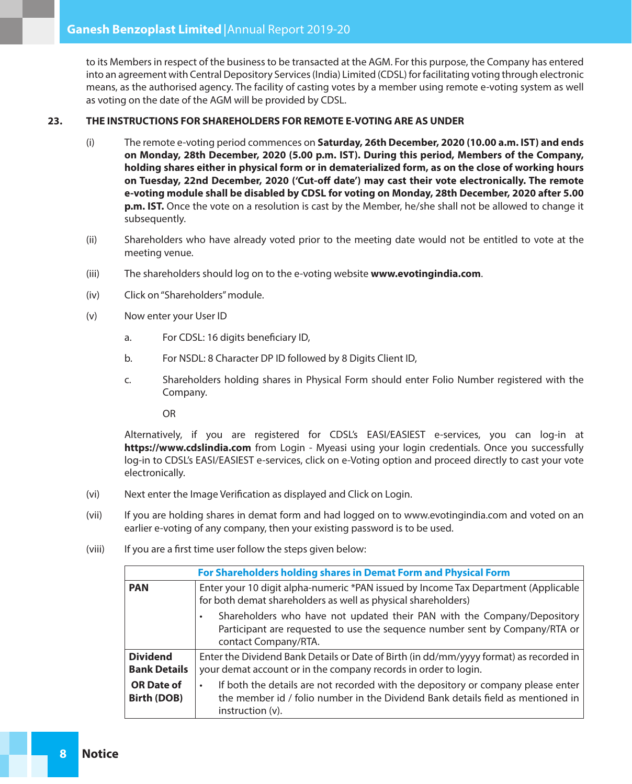to its Members in respect of the business to be transacted at the AGM. For this purpose, the Company has entered into an agreement with Central Depository Services (India) Limited (CDSL) for facilitating voting through electronic means, as the authorised agency. The facility of casting votes by a member using remote e-voting system as well as voting on the date of the AGM will be provided by CDSL.

### **23. THE INSTRUCTIONS FOR SHAREHOLDERS FOR REMOTE E-VOTING ARE AS UNDER**

- (i) The remote e-voting period commences on **Saturday, 26th December, 2020 (10.00 a.m. IST) and ends on Monday, 28th December, 2020 (5.00 p.m. IST). During this period, Members of the Company, holding shares either in physical form or in dematerialized form, as on the close of working hours**  on Tuesday, 22nd December, 2020 ('Cut-off date') may cast their vote electronically. The remote **e-voting module shall be disabled by CDSL for voting on Monday, 28th December, 2020 after 5.00 p.m. IST.** Once the vote on a resolution is cast by the Member, he/she shall not be allowed to change it subsequently.
- (ii) Shareholders who have already voted prior to the meeting date would not be entitled to vote at the meeting venue.
- (iii) The shareholders should log on to the e-voting website **www.evotingindia.com**.
- (iv) Click on "Shareholders" module.
- (v) Now enter your User ID
	- a. For CDSL: 16 digits beneficiary ID,
	- b. For NSDL: 8 Character DP ID followed by 8 Digits Client ID,
	- c. Shareholders holding shares in Physical Form should enter Folio Number registered with the Company.

OR

Alternatively, if you are registered for CDSL's EASI/EASIEST e-services, you can log-in at **https://www.cdslindia.com** from Login - Myeasi using your login credentials. Once you successfully log-in to CDSL's EASI/EASIEST e-services, click on e-Voting option and proceed directly to cast your vote electronically.

- (vi) Next enter the Image Verification as displayed and Click on Login.
- (vii) If you are holding shares in demat form and had logged on to www.evotingindia.com and voted on an earlier e-voting of any company, then your existing password is to be used.
- (viii) If you are a first time user follow the steps given below:

| For Shareholders holding shares in Demat Form and Physical Form |                                                                                                                                                                                                 |  |  |
|-----------------------------------------------------------------|-------------------------------------------------------------------------------------------------------------------------------------------------------------------------------------------------|--|--|
| <b>PAN</b>                                                      | Enter your 10 digit alpha-numeric *PAN issued by Income Tax Department (Applicable<br>for both demat shareholders as well as physical shareholders)                                             |  |  |
|                                                                 | Shareholders who have not updated their PAN with the Company/Depository<br>Participant are requested to use the sequence number sent by Company/RTA or<br>contact Company/RTA.                  |  |  |
| <b>Dividend</b><br><b>Bank Details</b>                          | Enter the Dividend Bank Details or Date of Birth (in dd/mm/yyyy format) as recorded in<br>your demat account or in the company records in order to login.                                       |  |  |
| <b>OR Date of</b><br><b>Birth (DOB)</b>                         | If both the details are not recorded with the depository or company please enter<br>٠<br>the member id / folio number in the Dividend Bank details field as mentioned in<br>$instruction (v)$ . |  |  |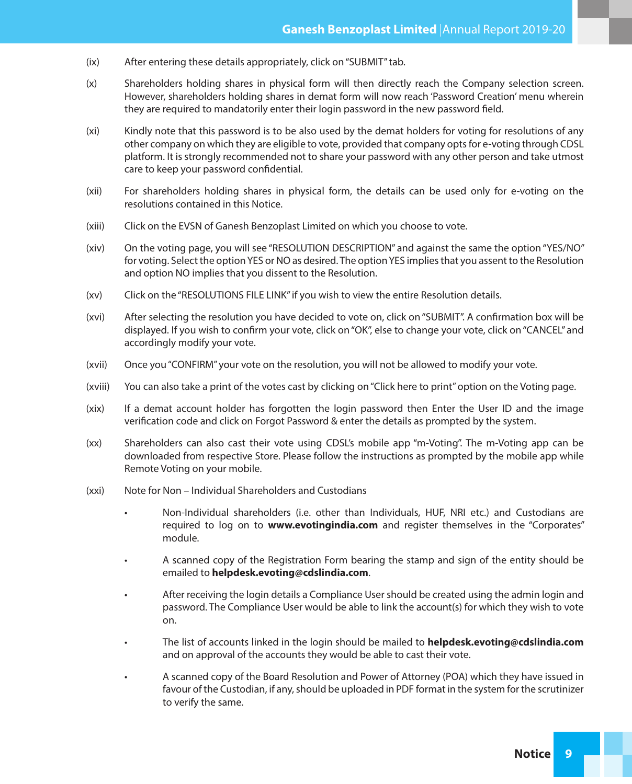- (ix) After entering these details appropriately, click on "SUBMIT" tab.
- (x) Shareholders holding shares in physical form will then directly reach the Company selection screen. However, shareholders holding shares in demat form will now reach 'Password Creation' menu wherein they are required to mandatorily enter their login password in the new password field.
- (xi) Kindly note that this password is to be also used by the demat holders for voting for resolutions of any other company on which they are eligible to vote, provided that company opts for e-voting through CDSL platform. It is strongly recommended not to share your password with any other person and take utmost care to keep your password confidential.
- (xii) For shareholders holding shares in physical form, the details can be used only for e-voting on the resolutions contained in this Notice.
- (xiii) Click on the EVSN of Ganesh Benzoplast Limited on which you choose to vote.
- (xiv) On the voting page, you will see "RESOLUTION DESCRIPTION" and against the same the option "YES/NO" for voting. Select the option YES or NO as desired. The option YES implies that you assent to the Resolution and option NO implies that you dissent to the Resolution.
- (xv) Click on the "RESOLUTIONS FILE LINK" if you wish to view the entire Resolution details.
- (xvi) After selecting the resolution you have decided to vote on, click on "SUBMIT". A confirmation box will be displayed. If you wish to confirm your vote, click on "OK", else to change your vote, click on "CANCEL" and accordingly modify your vote.
- (xvii) Once you "CONFIRM" your vote on the resolution, you will not be allowed to modify your vote.
- (xviii) You can also take a print of the votes cast by clicking on "Click here to print" option on the Voting page.
- (xix) If a demat account holder has forgotten the login password then Enter the User ID and the image verification code and click on Forgot Password & enter the details as prompted by the system.
- (xx) Shareholders can also cast their vote using CDSL's mobile app "m-Voting". The m-Voting app can be downloaded from respective Store. Please follow the instructions as prompted by the mobile app while Remote Voting on your mobile.
- (xxi) Note for Non Individual Shareholders and Custodians
	- Non-Individual shareholders (i.e. other than Individuals, HUF, NRI etc.) and Custodians are required to log on to **www.evotingindia.com** and register themselves in the "Corporates" module.
	- • A scanned copy of the Registration Form bearing the stamp and sign of the entity should be emailed to **helpdesk.evoting@cdslindia.com**.
	- After receiving the login details a Compliance User should be created using the admin login and password. The Compliance User would be able to link the account(s) for which they wish to vote on.
	- • The list of accounts linked in the login should be mailed to **helpdesk.evoting@cdslindia.com** and on approval of the accounts they would be able to cast their vote.
	- A scanned copy of the Board Resolution and Power of Attorney (POA) which they have issued in favour of the Custodian, if any, should be uploaded in PDF format in the system for the scrutinizer to verify the same.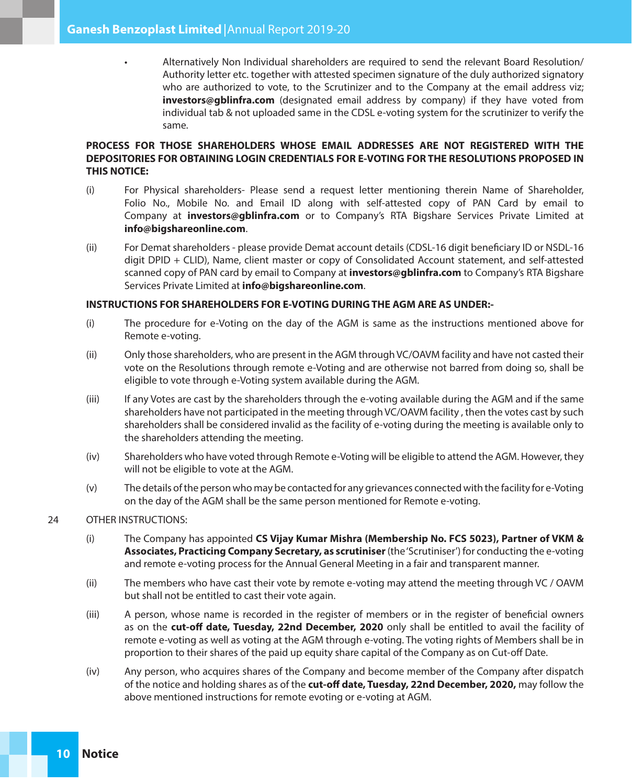Alternatively Non Individual shareholders are required to send the relevant Board Resolution/ Authority letter etc. together with attested specimen signature of the duly authorized signatory who are authorized to vote, to the Scrutinizer and to the Company at the email address viz; **investors@gblinfra.com** (designated email address by company) if they have voted from individual tab & not uploaded same in the CDSL e-voting system for the scrutinizer to verify the same.

# **PROCESS FOR THOSE SHAREHOLDERS WHOSE EMAIL ADDRESSES ARE NOT REGISTERED WITH THE DEPOSITORIES FOR OBTAINING LOGIN CREDENTIALS FOR E-VOTING FOR THE RESOLUTIONS PROPOSED IN THIS NOTICE:**

- (i) For Physical shareholders- Please send a request letter mentioning therein Name of Shareholder, Folio No., Mobile No. and Email ID along with self-attested copy of PAN Card by email to Company at **investors@gblinfra.com** or to Company's RTA Bigshare Services Private Limited at **info@bigshareonline.com**.
- (ii) For Demat shareholders please provide Demat account details (CDSL-16 digit beneficiary ID or NSDL-16 digit DPID + CLID), Name, client master or copy of Consolidated Account statement, and self-attested scanned copy of PAN card by email to Company at **investors@gblinfra.com** to Company's RTA Bigshare Services Private Limited at **info@bigshareonline.com**.

#### **INSTRUCTIONS FOR SHAREHOLDERS FOR E-VOTING DURING THE AGM ARE AS UNDER:-**

- (i) The procedure for e-Voting on the day of the AGM is same as the instructions mentioned above for Remote e-voting.
- (ii) Only those shareholders, who are present in the AGM through VC/OAVM facility and have not casted their vote on the Resolutions through remote e-Voting and are otherwise not barred from doing so, shall be eligible to vote through e-Voting system available during the AGM.
- (iii) If any Votes are cast by the shareholders through the e-voting available during the AGM and if the same shareholders have not participated in the meeting through VC/OAVM facility , then the votes cast by such shareholders shall be considered invalid as the facility of e-voting during the meeting is available only to the shareholders attending the meeting.
- (iv) Shareholders who have voted through Remote e-Voting will be eligible to attend the AGM. However, they will not be eligible to vote at the AGM.
- (v) The details of the person who may be contacted for any grievances connected with the facility for e-Voting on the day of the AGM shall be the same person mentioned for Remote e-voting.

## 24 OTHER INSTRUCTIONS:

- (i) The Company has appointed **CS Vijay Kumar Mishra (Membership No. FCS 5023), Partner of VKM & Associates, Practicing Company Secretary, as scrutiniser** (the 'Scrutiniser') for conducting the e-voting and remote e-voting process for the Annual General Meeting in a fair and transparent manner.
- (ii) The members who have cast their vote by remote e-voting may attend the meeting through VC / OAVM but shall not be entitled to cast their vote again.
- (iii) A person, whose name is recorded in the register of members or in the register of beneficial owners as on the **cut-off date, Tuesday, 22nd December, 2020** only shall be entitled to avail the facility of remote e-voting as well as voting at the AGM through e-voting. The voting rights of Members shall be in proportion to their shares of the paid up equity share capital of the Company as on Cut-off Date.
- (iv) Any person, who acquires shares of the Company and become member of the Company after dispatch of the notice and holding shares as of the **cut-off date, Tuesday, 22nd December, 2020,** may follow the above mentioned instructions for remote evoting or e-voting at AGM.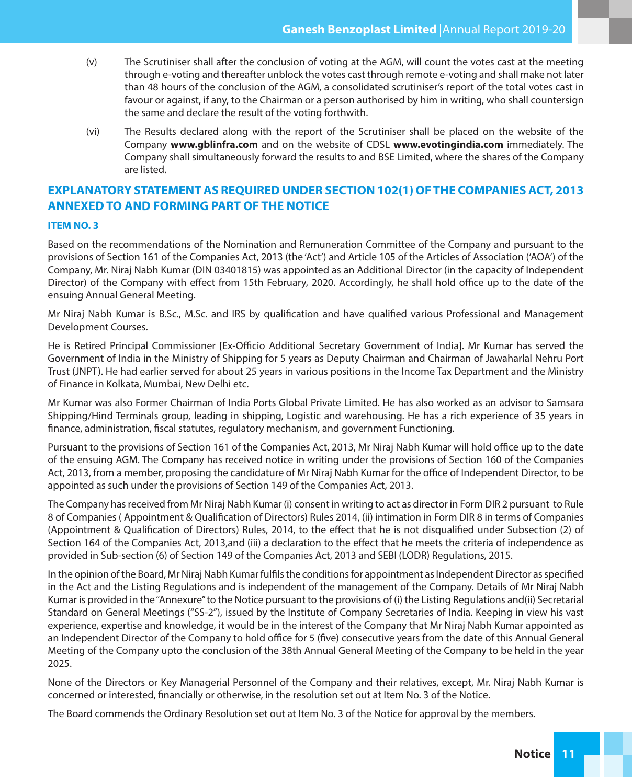- (v) The Scrutiniser shall after the conclusion of voting at the AGM, will count the votes cast at the meeting through e-voting and thereafter unblock the votes cast through remote e-voting and shall make not later than 48 hours of the conclusion of the AGM, a consolidated scrutiniser's report of the total votes cast in favour or against, if any, to the Chairman or a person authorised by him in writing, who shall countersign the same and declare the result of the voting forthwith.
- (vi) The Results declared along with the report of the Scrutiniser shall be placed on the website of the Company **www.gblinfra.com** and on the website of CDSL **www.evotingindia.com** immediately. The Company shall simultaneously forward the results to and BSE Limited, where the shares of the Company are listed.

# **EXPLANATORY STATEMENT AS REQUIRED UNDER SECTION 102(1) OF THE COMPANIES ACT, 2013 ANNEXED TO AND FORMING PART OF THE NOTICE**

### **ITEM NO. 3**

Based on the recommendations of the Nomination and Remuneration Committee of the Company and pursuant to the provisions of Section 161 of the Companies Act, 2013 (the 'Act') and Article 105 of the Articles of Association ('AOA') of the Company, Mr. Niraj Nabh Kumar (DIN 03401815) was appointed as an Additional Director (in the capacity of Independent Director) of the Company with effect from 15th February, 2020. Accordingly, he shall hold office up to the date of the ensuing Annual General Meeting.

Mr Niraj Nabh Kumar is B.Sc., M.Sc. and IRS by qualification and have qualified various Professional and Management Development Courses.

He is Retired Principal Commissioner [Ex-Officio Additional Secretary Government of India]. Mr Kumar has served the Government of India in the Ministry of Shipping for 5 years as Deputy Chairman and Chairman of Jawaharlal Nehru Port Trust (JNPT). He had earlier served for about 25 years in various positions in the Income Tax Department and the Ministry of Finance in Kolkata, Mumbai, New Delhi etc.

Mr Kumar was also Former Chairman of India Ports Global Private Limited. He has also worked as an advisor to Samsara Shipping/Hind Terminals group, leading in shipping, Logistic and warehousing. He has a rich experience of 35 years in finance, administration, fiscal statutes, regulatory mechanism, and government Functioning.

Pursuant to the provisions of Section 161 of the Companies Act, 2013, Mr Niraj Nabh Kumar will hold office up to the date of the ensuing AGM. The Company has received notice in writing under the provisions of Section 160 of the Companies Act, 2013, from a member, proposing the candidature of Mr Niraj Nabh Kumar for the office of Independent Director, to be appointed as such under the provisions of Section 149 of the Companies Act, 2013.

The Company has received from Mr Niraj Nabh Kumar (i) consent in writing to act as director in Form DIR 2 pursuant to Rule 8 of Companies (Appointment & Qualification of Directors) Rules 2014, (ii) intimation in Form DIR 8 in terms of Companies (Appointment & Qualification of Directors) Rules, 2014, to the effect that he is not disqualified under Subsection (2) of Section 164 of the Companies Act, 2013,and (iii) a declaration to the effect that he meets the criteria of independence as provided in Sub-section (6) of Section 149 of the Companies Act, 2013 and SEBI (LODR) Regulations, 2015.

In the opinion of the Board, Mr Niraj Nabh Kumar fulfils the conditions for appointment as Independent Director as specified in the Act and the Listing Regulations and is independent of the management of the Company. Details of Mr Niraj Nabh Kumar is provided in the "Annexure" to the Notice pursuant to the provisions of (i) the Listing Regulations and(ii) Secretarial Standard on General Meetings ("SS-2"), issued by the Institute of Company Secretaries of India. Keeping in view his vast experience, expertise and knowledge, it would be in the interest of the Company that Mr Niraj Nabh Kumar appointed as an Independent Director of the Company to hold office for 5 (five) consecutive years from the date of this Annual General Meeting of the Company upto the conclusion of the 38th Annual General Meeting of the Company to be held in the year 2025.

None of the Directors or Key Managerial Personnel of the Company and their relatives, except, Mr. Niraj Nabh Kumar is concerned or interested, financially or otherwise, in the resolution set out at Item No. 3 of the Notice.

The Board commends the Ordinary Resolution set out at Item No. 3 of the Notice for approval by the members.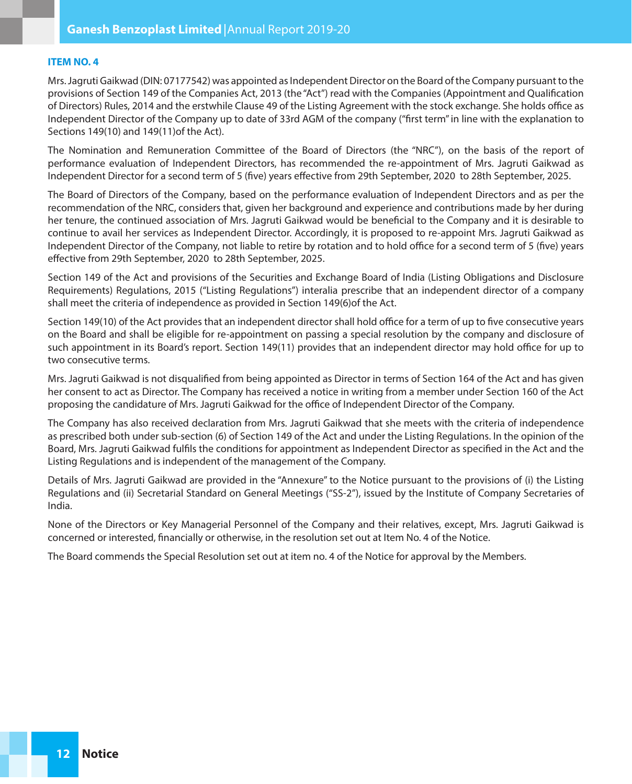#### **ITEM NO. 4**

Mrs. Jagruti Gaikwad (DIN: 07177542) was appointed as Independent Director on the Board of the Company pursuant to the provisions of Section 149 of the Companies Act, 2013 (the "Act") read with the Companies (Appointment and Qualification of Directors) Rules, 2014 and the erstwhile Clause 49 of the Listing Agreement with the stock exchange. She holds office as Independent Director of the Company up to date of 33rd AGM of the company ("first term" in line with the explanation to Sections 149(10) and 149(11)of the Act).

The Nomination and Remuneration Committee of the Board of Directors (the "NRC"), on the basis of the report of performance evaluation of Independent Directors, has recommended the re-appointment of Mrs. Jagruti Gaikwad as Independent Director for a second term of 5 (five) years effective from 29th September, 2020 to 28th September, 2025.

The Board of Directors of the Company, based on the performance evaluation of Independent Directors and as per the recommendation of the NRC, considers that, given her background and experience and contributions made by her during her tenure, the continued association of Mrs. Jagruti Gaikwad would be beneficial to the Company and it is desirable to continue to avail her services as Independent Director. Accordingly, it is proposed to re-appoint Mrs. Jagruti Gaikwad as Independent Director of the Company, not liable to retire by rotation and to hold office for a second term of 5 (five) years effective from 29th September, 2020 to 28th September, 2025.

Section 149 of the Act and provisions of the Securities and Exchange Board of India (Listing Obligations and Disclosure Requirements) Regulations, 2015 ("Listing Regulations") interalia prescribe that an independent director of a company shall meet the criteria of independence as provided in Section 149(6)of the Act.

Section 149(10) of the Act provides that an independent director shall hold office for a term of up to five consecutive years on the Board and shall be eligible for re-appointment on passing a special resolution by the company and disclosure of such appointment in its Board's report. Section 149(11) provides that an independent director may hold office for up to two consecutive terms.

Mrs. Jagruti Gaikwad is not disqualified from being appointed as Director in terms of Section 164 of the Act and has given her consent to act as Director. The Company has received a notice in writing from a member under Section 160 of the Act proposing the candidature of Mrs. Jagruti Gaikwad for the office of Independent Director of the Company.

The Company has also received declaration from Mrs. Jagruti Gaikwad that she meets with the criteria of independence as prescribed both under sub-section (6) of Section 149 of the Act and under the Listing Regulations. In the opinion of the Board, Mrs. Jagruti Gaikwad fulfils the conditions for appointment as Independent Director as specified in the Act and the Listing Regulations and is independent of the management of the Company.

Details of Mrs. Jagruti Gaikwad are provided in the "Annexure" to the Notice pursuant to the provisions of (i) the Listing Regulations and (ii) Secretarial Standard on General Meetings ("SS-2"), issued by the Institute of Company Secretaries of India.

None of the Directors or Key Managerial Personnel of the Company and their relatives, except, Mrs. Jagruti Gaikwad is concerned or interested, financially or otherwise, in the resolution set out at Item No. 4 of the Notice.

The Board commends the Special Resolution set out at item no. 4 of the Notice for approval by the Members.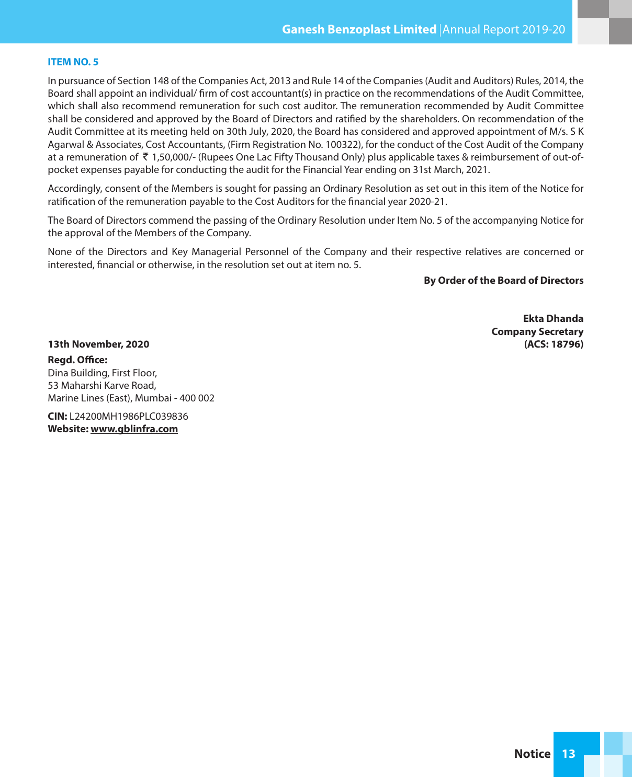#### **ITEM NO. 5**

In pursuance of Section 148 of the Companies Act, 2013 and Rule 14 of the Companies (Audit and Auditors) Rules, 2014, the Board shall appoint an individual/ firm of cost accountant(s) in practice on the recommendations of the Audit Committee, which shall also recommend remuneration for such cost auditor. The remuneration recommended by Audit Committee shall be considered and approved by the Board of Directors and ratified by the shareholders. On recommendation of the Audit Committee at its meeting held on 30th July, 2020, the Board has considered and approved appointment of M/s. S K Agarwal & Associates, Cost Accountants, (Firm Registration No. 100322), for the conduct of the Cost Audit of the Company at a remuneration of  $\bar{\tau}$  1,50,000/- (Rupees One Lac Fifty Thousand Only) plus applicable taxes & reimbursement of out-ofpocket expenses payable for conducting the audit for the Financial Year ending on 31st March, 2021.

Accordingly, consent of the Members is sought for passing an Ordinary Resolution as set out in this item of the Notice for ratification of the remuneration payable to the Cost Auditors for the financial year 2020-21.

The Board of Directors commend the passing of the Ordinary Resolution under Item No. 5 of the accompanying Notice for the approval of the Members of the Company.

None of the Directors and Key Managerial Personnel of the Company and their respective relatives are concerned or interested, financial or otherwise, in the resolution set out at item no. 5.

# **By Order of the Board of Directors**

**Ekta Dhanda Company Secretary**

**13th November, 2020 (ACS: 18796) Regd. Office:** Dina Building, First Floor, 53 Maharshi Karve Road, Marine Lines (East), Mumbai - 400 002

**CIN:** L24200MH1986PLC039836 **Website: www.gblinfra.com**